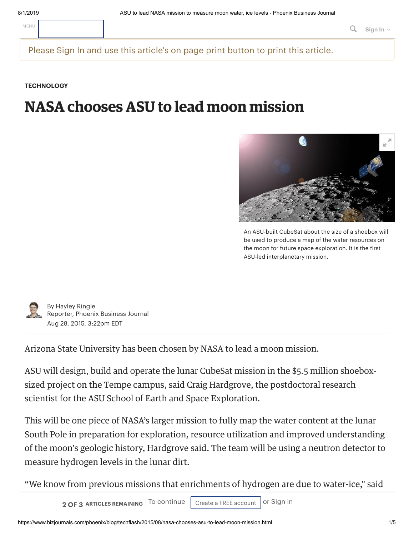Please Sign In and use this article's on page print button to print this article.

**[TECHNOLOGY](https://www.bizjournals.com/phoenix/news/technology/)**

# **NASA chooses ASU to lead moon mission**



An ASU-built CubeSat about the size of a shoebox will be used to produce a map of the water resources on the moon for future space exploration. It is the first ASU-led interplanetary mission.



By [Hayley](https://www.bizjournals.com/phoenix/bio/15421/Hayley+Ringle) Ringle Reporter, Phoenix Business Journal Aug 28, 2015, 3:22pm EDT

Arizona State University has been chosen by NASA to lead a moon mission.

ASU will design, build and operate the lunar CubeSat mission in the \$5.5 million shoeboxsized project on the Tempe campus, said Craig Hardgrove, the postdoctoral research scientist for the ASU School of Earth and Space Exploration.

This will be one piece of NASA's larger mission to fully map the water content at the lunar South Pole in preparation for exploration, resource utilization and improved understanding of the moon's geologic history, Hardgrove said. The team will be using a neutron detector to measure hydrogen levels in the lunar dirt.

"We know from previous missions that enrichments of hydrogen are due to water-ice," said

**2 OF 3 ARTICLES REMAINING** To continue Create a FREE account or [Sign](https://www.bizjournals.com/login/phoenix?r=%2Fphoenix%2Fblog%2Ftechflash%2F2015%2F08%2Fnasa-chooses-asu-to-lead-moon-mission.html) in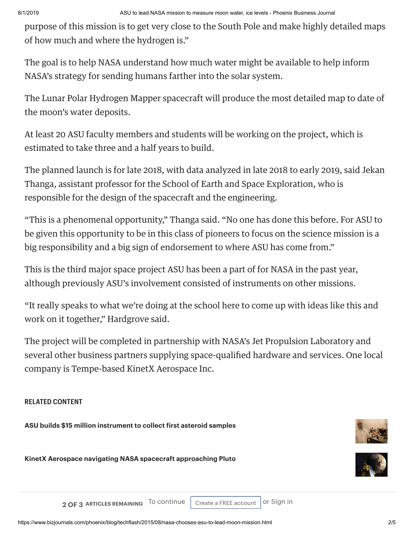purpose of this mission is to get very close to the South Pole and make highly detailed maps of how much and where the hydrogen is."

The goal is to help NASA understand how much water might be available to help inform NASA's strategy for sending humans farther into the solar system.

The Lunar Polar Hydrogen Mapper spacecraft will produce the most detailed map to date of the moon's water deposits.

At least 20 ASU faculty members and students will be working on the project, which is estimated to take three and a half years to build.

The planned launch is for late 2018, with data analyzed in late 2018 to early 2019, said Jekan Thanga, assistant professor for the School of Earth and Space Exploration, who is responsible for the design of the spacecraft and the engineering.

"This is a phenomenal opportunity," Thanga said. "No one has done this before. For ASU to be given this opportunity to be in this class of pioneers to focus on the science mission is a big responsibility and a big sign of endorsement to where ASU has come from."

This is the third major space project ASU has been a part of for NASA in the past year, although previously ASU's involvement consisted of instruments on other missions.

"It really speaks to what we're doing at the school here to come up with ideas like this and work on it together," Hardgrove said.

The project will be completed in partnership with NASA's Jet Propulsion Laboratory and several other business partners supplying space-qualified hardware and services. One local company is Tempe-based KinetX Aerospace Inc.

### **RELATED CONTENT**

**ASU builds \$15 million instrument to collect first asteroid samples**



**KinetX Aerospace navigating NASA spacecraft approaching Pluto**



**2 OF 3 ARTICLES REMAINING** To continue | Create a FREE [account](https://www.bizjournals.com/register/phoenix?qab=40&r=%2Fphoenix%2Fblog%2Ftechflash%2F2015%2F08%2Fnasa-chooses-asu-to-lead-moon-mission.html) | or [Sign](https://www.bizjournals.com/login/phoenix?r=%2Fphoenix%2Fblog%2Ftechflash%2F2015%2F08%2Fnasa-chooses-asu-to-lead-moon-mission.html) in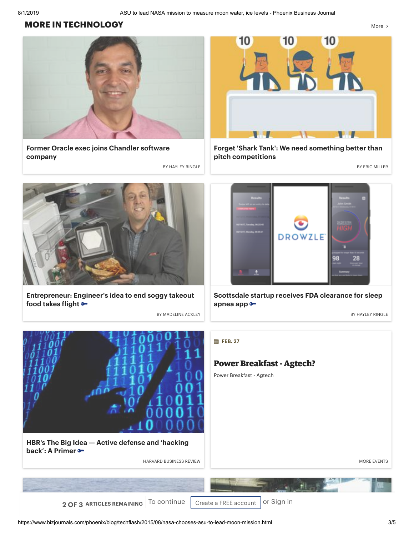#### **MORE IN [TECHNOLOGY](https://www.bizjournals.com/phoenix/industry-news/technology)** [More](https://www.bizjournals.com/phoenix/industry-news/technology)  $\lambda$



**Former Oracle exec joins Chandler software company**

BY [HAYLEY](https://www.bizjournals.com/phoenix/bio/15421/Hayley+Ringle) RINGLE **BY ERIC [MILLER](https://www.bizjournals.com/phoenix/bio/33352/Eric+Miller)** 



**Entrepreneur: Engineer's idea to end soggy takeout food takes flight**

BY [MADELINE](https://www.bizjournals.com/phoenix/bio/40799/Madeline+Ackley) ACKLEY BY [HAYLEY](https://www.bizjournals.com/phoenix/bio/15421/Hayley+Ringle) RINGLE



**Forget 'Shark Tank': We need something better than pitch competitions**



**Scottsdale startup receives FDA clearance for sleep apnea app**



**HBR's The Big Idea — Active defense and 'hacking back': A Primer**

HARVARD BUSINESS REVIEW MORE [EVENTS](https://www.bizjournals.com/phoenix/event)



#### **Power Breakfast- Agtech?**

Power Breakfast - Agtech

**2 OF 3 ARTICLES REMAINING** To continue create a FREE [account](https://www.bizjournals.com/register/phoenix?qab=40&r=%2Fphoenix%2Fblog%2Ftechflash%2F2015%2F08%2Fnasa-chooses-asu-to-lead-moon-mission.html) or [Sign](https://www.bizjournals.com/login/phoenix?r=%2Fphoenix%2Fblog%2Ftechflash%2F2015%2F08%2Fnasa-chooses-asu-to-lead-moon-mission.html) in

https://www.bizjournals.com/phoenix/blog/techflash/2015/08/nasa-chooses-asu-to-lead-moon-mission.html 3/5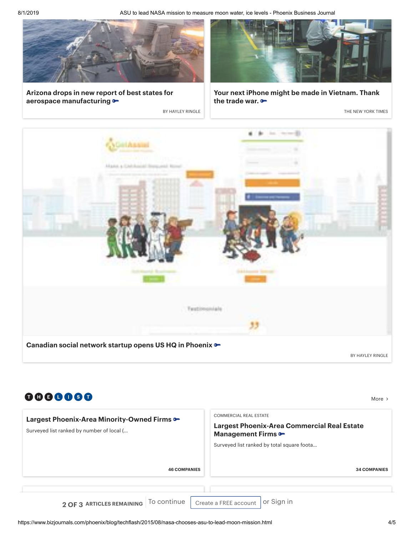8/1/2019 ASU to lead NASA mission to measure moon water, ice levels - Phoenix Business Journal



**Arizona drops in new report of best states for aerospace manufacturing**



**Your next iPhone might be made in Vietnam. Thank the trade war.**

**BY [HAYLEY](https://www.bizjournals.com/phoenix/bio/15421/Hayley+Ringle) RINGLE THE NEW YORK TIMES** 



| 0000000<br>Largest Phoenix-Area Minority-Owned Firms •<br>Surveyed list ranked by number of local ( | <b>COMMERCIAL REAL ESTATE</b><br><b>Largest Phoenix-Area Commercial Real Estate</b><br><b>Management Firms ••</b><br>Surveyed list ranked by total square foota |
|-----------------------------------------------------------------------------------------------------|-----------------------------------------------------------------------------------------------------------------------------------------------------------------|
| <b>46 COMPANIES</b>                                                                                 | <b>34 COM</b>                                                                                                                                                   |
| 2 OF 3 ARTICLES REMAINING To continue                                                               | or Sign in<br>Create a FREE account                                                                                                                             |

[More](https://www.bizjournals.com/phoenix/datacenter/lists) >

**34 COMPANIES**